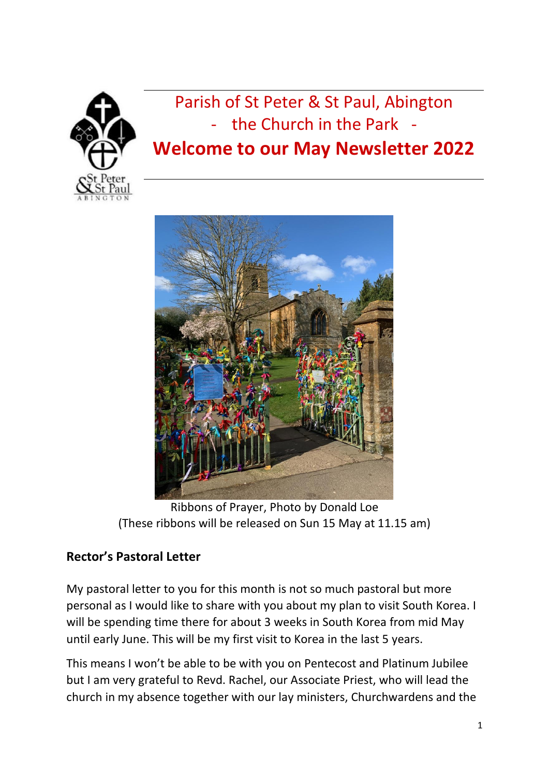

# Parish of St Peter & St Paul, Abington - the Church in the Park - **Welcome to our May Newsletter 2022**



Ribbons of Prayer, Photo by Donald Loe (These ribbons will be released on Sun 15 May at 11.15 am)

# **Rector's Pastoral Letter**

My pastoral letter to you for this month is not so much pastoral but more personal as I would like to share with you about my plan to visit South Korea. I will be spending time there for about 3 weeks in South Korea from mid May until early June. This will be my first visit to Korea in the last 5 years.

This means I won't be able to be with you on Pentecost and Platinum Jubilee but I am very grateful to Revd. Rachel, our Associate Priest, who will lead the church in my absence together with our lay ministers, Churchwardens and the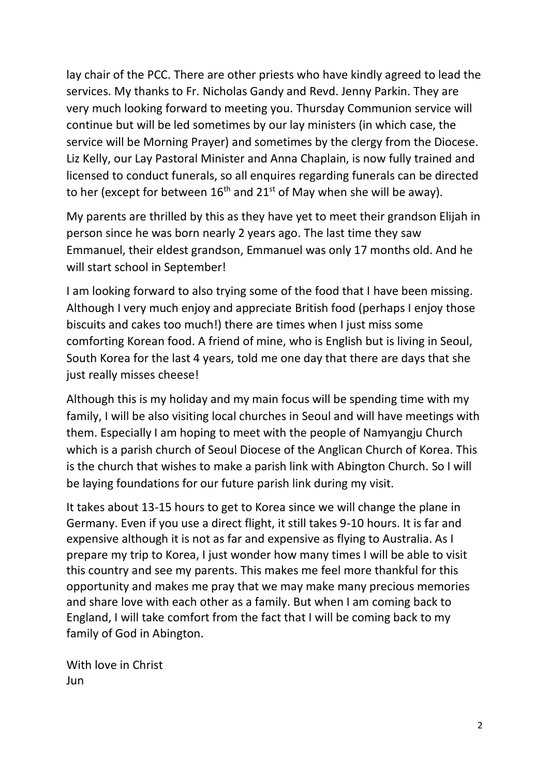lay chair of the PCC. There are other priests who have kindly agreed to lead the services. My thanks to Fr. Nicholas Gandy and Revd. Jenny Parkin. They are very much looking forward to meeting you. Thursday Communion service will continue but will be led sometimes by our lay ministers (in which case, the service will be Morning Prayer) and sometimes by the clergy from the Diocese. Liz Kelly, our Lay Pastoral Minister and Anna Chaplain, is now fully trained and licensed to conduct funerals, so all enquires regarding funerals can be directed to her (except for between  $16<sup>th</sup>$  and  $21<sup>st</sup>$  of May when she will be away).

My parents are thrilled by this as they have yet to meet their grandson Elijah in person since he was born nearly 2 years ago. The last time they saw Emmanuel, their eldest grandson, Emmanuel was only 17 months old. And he will start school in September!

I am looking forward to also trying some of the food that I have been missing. Although I very much enjoy and appreciate British food (perhaps I enjoy those biscuits and cakes too much!) there are times when I just miss some comforting Korean food. A friend of mine, who is English but is living in Seoul, South Korea for the last 4 years, told me one day that there are days that she just really misses cheese!

Although this is my holiday and my main focus will be spending time with my family, I will be also visiting local churches in Seoul and will have meetings with them. Especially I am hoping to meet with the people of Namyangju Church which is a parish church of Seoul Diocese of the Anglican Church of Korea. This is the church that wishes to make a parish link with Abington Church. So I will be laying foundations for our future parish link during my visit.

It takes about 13-15 hours to get to Korea since we will change the plane in Germany. Even if you use a direct flight, it still takes 9-10 hours. It is far and expensive although it is not as far and expensive as flying to Australia. As I prepare my trip to Korea, I just wonder how many times I will be able to visit this country and see my parents. This makes me feel more thankful for this opportunity and makes me pray that we may make many precious memories and share love with each other as a family. But when I am coming back to England, I will take comfort from the fact that I will be coming back to my family of God in Abington.

With love in Christ Jun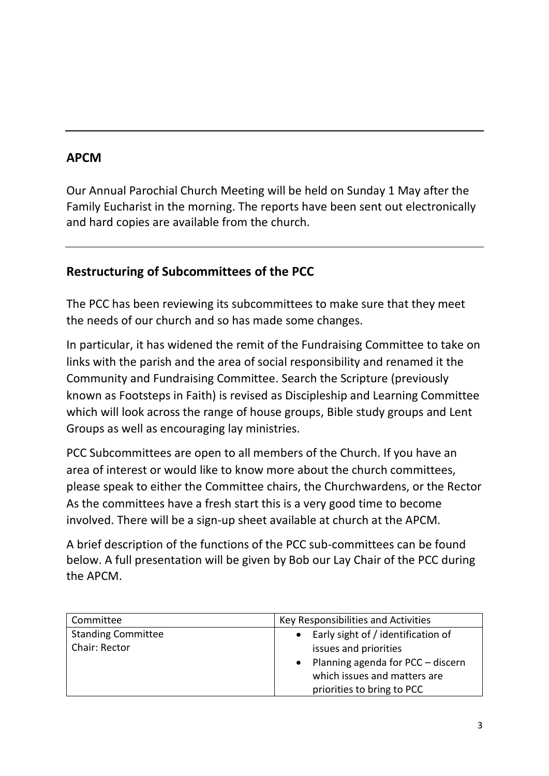## **APCM**

Our Annual Parochial Church Meeting will be held on Sunday 1 May after the Family Eucharist in the morning. The reports have been sent out electronically and hard copies are available from the church.

# **Restructuring of Subcommittees of the PCC**

The PCC has been reviewing its subcommittees to make sure that they meet the needs of our church and so has made some changes.

In particular, it has widened the remit of the Fundraising Committee to take on links with the parish and the area of social responsibility and renamed it the Community and Fundraising Committee. Search the Scripture (previously known as Footsteps in Faith) is revised as Discipleship and Learning Committee which will look across the range of house groups, Bible study groups and Lent Groups as well as encouraging lay ministries.

PCC Subcommittees are open to all members of the Church. If you have an area of interest or would like to know more about the church committees, please speak to either the Committee chairs, the Churchwardens, or the Rector As the committees have a fresh start this is a very good time to become involved. There will be a sign-up sheet available at church at the APCM.

A brief description of the functions of the PCC sub-committees can be found below. A full presentation will be given by Bob our Lay Chair of the PCC during the APCM.

| Committee                 | Key Responsibilities and Activities             |
|---------------------------|-------------------------------------------------|
| <b>Standing Committee</b> | Early sight of / identification of<br>$\bullet$ |
| Chair: Rector             | issues and priorities                           |
|                           | Planning agenda for PCC - discern<br>$\bullet$  |
|                           | which issues and matters are                    |
|                           | priorities to bring to PCC                      |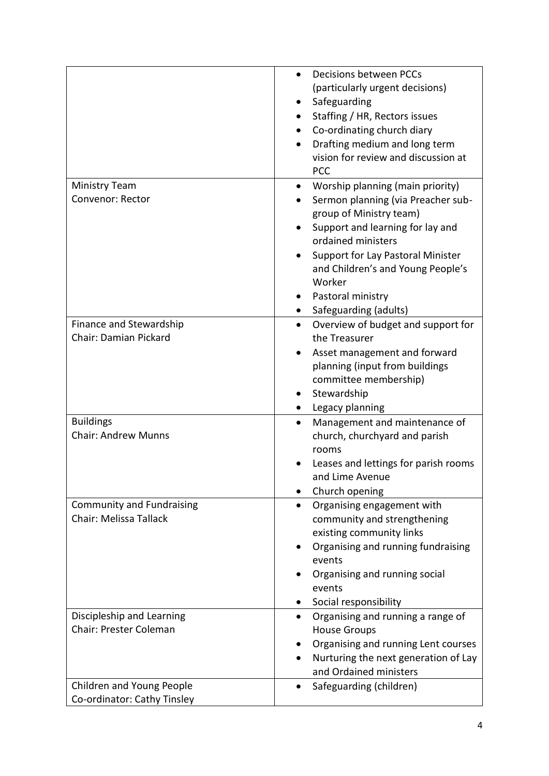|                                                     | Decisions between PCCs                                         |
|-----------------------------------------------------|----------------------------------------------------------------|
|                                                     | (particularly urgent decisions)                                |
|                                                     | Safeguarding                                                   |
|                                                     | Staffing / HR, Rectors issues                                  |
|                                                     | Co-ordinating church diary                                     |
|                                                     | Drafting medium and long term                                  |
|                                                     | vision for review and discussion at                            |
|                                                     | <b>PCC</b>                                                     |
| <b>Ministry Team</b>                                | Worship planning (main priority)<br>٠                          |
| <b>Convenor: Rector</b>                             | Sermon planning (via Preacher sub-                             |
|                                                     | group of Ministry team)                                        |
|                                                     | Support and learning for lay and                               |
|                                                     | ordained ministers                                             |
|                                                     | Support for Lay Pastoral Minister                              |
|                                                     | and Children's and Young People's<br>Worker                    |
|                                                     | Pastoral ministry                                              |
|                                                     | Safeguarding (adults)                                          |
| Finance and Stewardship                             | Overview of budget and support for                             |
| Chair: Damian Pickard                               | the Treasurer                                                  |
|                                                     | Asset management and forward                                   |
|                                                     | planning (input from buildings                                 |
|                                                     | committee membership)                                          |
|                                                     | Stewardship                                                    |
|                                                     | Legacy planning                                                |
| <b>Buildings</b>                                    | Management and maintenance of<br>$\bullet$                     |
| <b>Chair: Andrew Munns</b>                          | church, churchyard and parish                                  |
|                                                     | rooms                                                          |
|                                                     | Leases and lettings for parish rooms                           |
|                                                     | and Lime Avenue                                                |
|                                                     | Church opening                                                 |
| <b>Community and Fundraising</b>                    | Organising engagement with<br>$\bullet$                        |
| <b>Chair: Melissa Tallack</b>                       | community and strengthening                                    |
|                                                     | existing community links                                       |
|                                                     | Organising and running fundraising                             |
|                                                     | events                                                         |
|                                                     | Organising and running social                                  |
|                                                     | events                                                         |
|                                                     | Social responsibility                                          |
| Discipleship and Learning<br>Chair: Prester Coleman | Organising and running a range of<br>$\bullet$                 |
|                                                     | <b>House Groups</b>                                            |
|                                                     | Organising and running Lent courses                            |
|                                                     | Nurturing the next generation of Lay<br>and Ordained ministers |
| Children and Young People                           | Safeguarding (children)                                        |
| Co-ordinator: Cathy Tinsley                         |                                                                |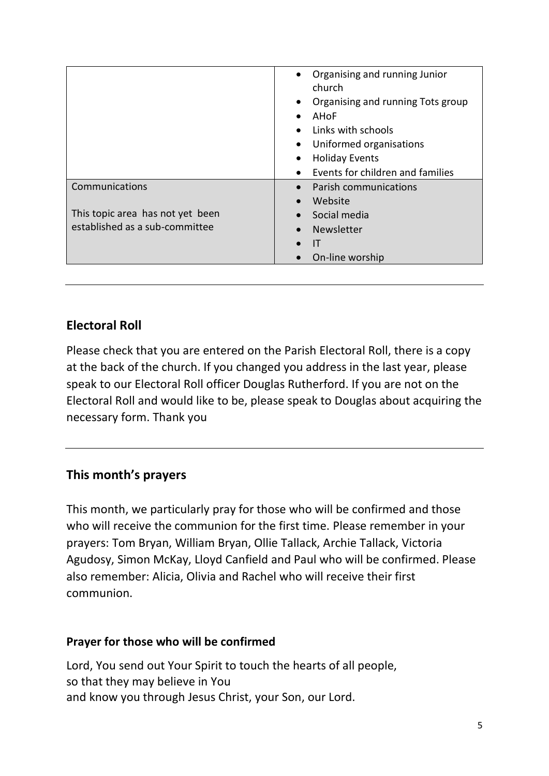|                                  | • Organising and running Junior<br>church<br>Organising and running Tots group<br>$\bullet$<br>AHoF<br>Links with schools<br>$\bullet$<br>Uniformed organisations<br>$\bullet$<br><b>Holiday Events</b><br>$\bullet$<br>Events for children and families<br>$\bullet$ |
|----------------------------------|-----------------------------------------------------------------------------------------------------------------------------------------------------------------------------------------------------------------------------------------------------------------------|
| Communications                   | Parish communications<br>$\bullet$                                                                                                                                                                                                                                    |
|                                  | Website                                                                                                                                                                                                                                                               |
| This topic area has not yet been | Social media                                                                                                                                                                                                                                                          |
| established as a sub-committee   | <b>Newsletter</b><br>$\bullet$                                                                                                                                                                                                                                        |
|                                  | IТ                                                                                                                                                                                                                                                                    |
|                                  | On-line worship                                                                                                                                                                                                                                                       |

# **Electoral Roll**

Please check that you are entered on the Parish Electoral Roll, there is a copy at the back of the church. If you changed you address in the last year, please speak to our Electoral Roll officer Douglas Rutherford. If you are not on the Electoral Roll and would like to be, please speak to Douglas about acquiring the necessary form. Thank you

# **This month's prayers**

This month, we particularly pray for those who will be confirmed and those who will receive the communion for the first time. Please remember in your prayers: Tom Bryan, William Bryan, Ollie Tallack, Archie Tallack, Victoria Agudosy, Simon McKay, Lloyd Canfield and Paul who will be confirmed. Please also remember: Alicia, Olivia and Rachel who will receive their first communion.

#### **Prayer for those who will be confirmed**

Lord, You send out Your Spirit to touch the hearts of all people, so that they may believe in You and know you through Jesus Christ, your Son, our Lord.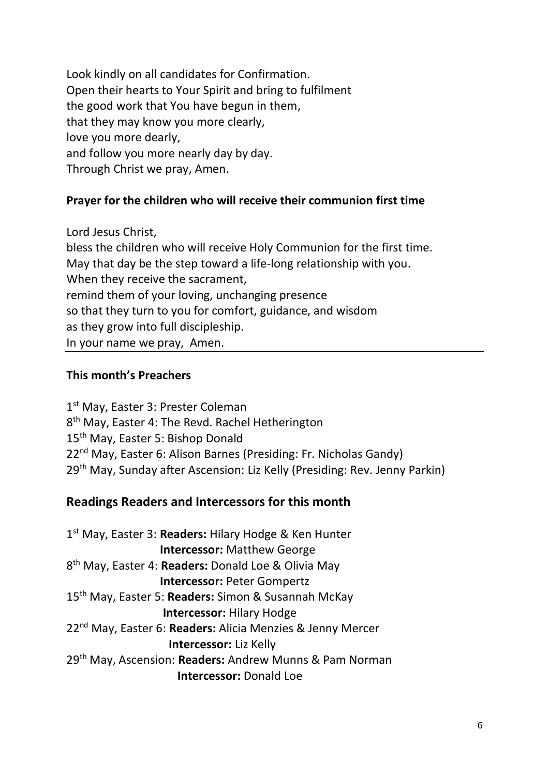Look kindly on all candidates for Confirmation. Open their hearts to Your Spirit and bring to fulfilment the good work that You have begun in them, that they may know you more clearly, love you more dearly, and follow you more nearly day by day. Through Christ we pray, Amen.

#### **Prayer for the children who will receive their communion first time**

Lord Jesus Christ,

bless the children who will receive Holy Communion for the first time. May that day be the step toward a life-long relationship with you. When they receive the sacrament, remind them of your loving, unchanging presence so that they turn to you for comfort, guidance, and wisdom as they grow into full discipleship. In your name we pray, Amen.

#### **This month's Preachers**

1st May, Easter 3: Prester Coleman 8<sup>th</sup> May, Easter 4: The Revd. Rachel Hetherington 15<sup>th</sup> May, Easter 5: Bishop Donald 22<sup>nd</sup> May, Easter 6: Alison Barnes (Presiding: Fr. Nicholas Gandy) 29th May, Sunday after Ascension: Liz Kelly (Presiding: Rev. Jenny Parkin)

## **Readings Readers and Intercessors for this month**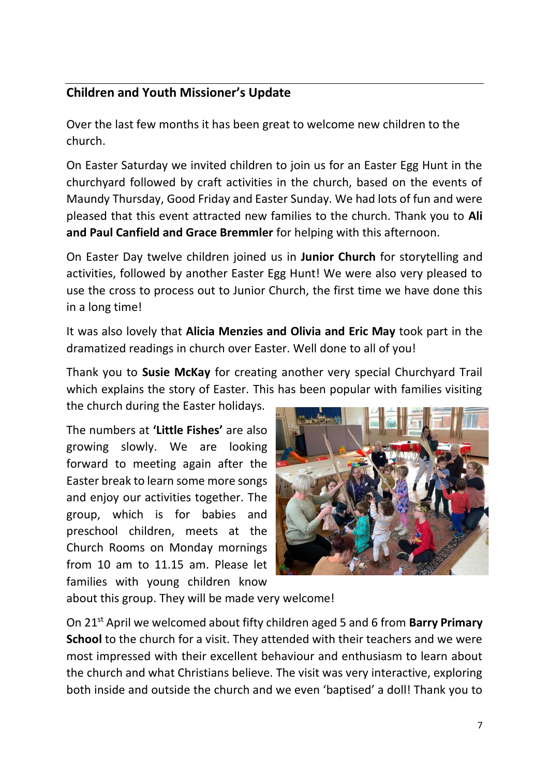# **Children and Youth Missioner's Update**

Over the last few months it has been great to welcome new children to the church.

On Easter Saturday we invited children to join us for an Easter Egg Hunt in the churchyard followed by craft activities in the church, based on the events of Maundy Thursday, Good Friday and Easter Sunday. We had lots of fun and were pleased that this event attracted new families to the church. Thank you to **Ali and Paul Canfield and Grace Bremmler** for helping with this afternoon.

On Easter Day twelve children joined us in **Junior Church** for storytelling and activities, followed by another Easter Egg Hunt! We were also very pleased to use the cross to process out to Junior Church, the first time we have done this in a long time!

It was also lovely that **Alicia Menzies and Olivia and Eric May** took part in the dramatized readings in church over Easter. Well done to all of you!

Thank you to **Susie McKay** for creating another very special Churchyard Trail which explains the story of Easter. This has been popular with families visiting

the church during the Easter holidays.

The numbers at **'Little Fishes'** are also growing slowly. We are looking forward to meeting again after the Easter break to learn some more songs and enjoy our activities together. The group, which is for babies and preschool children, meets at the Church Rooms on Monday mornings from 10 am to 11.15 am. Please let families with young children know



about this group. They will be made very welcome!

On 21st April we welcomed about fifty children aged 5 and 6 from **Barry Primary School** to the church for a visit. They attended with their teachers and we were most impressed with their excellent behaviour and enthusiasm to learn about the church and what Christians believe. The visit was very interactive, exploring both inside and outside the church and we even 'baptised' a doll! Thank you to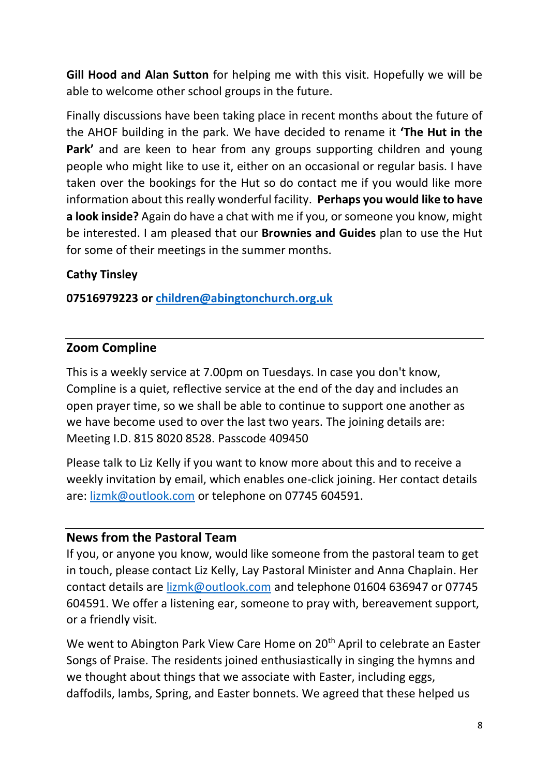**Gill Hood and Alan Sutton** for helping me with this visit. Hopefully we will be able to welcome other school groups in the future.

Finally discussions have been taking place in recent months about the future of the AHOF building in the park. We have decided to rename it **'The Hut in the Park'** and are keen to hear from any groups supporting children and young people who might like to use it, either on an occasional or regular basis. I have taken over the bookings for the Hut so do contact me if you would like more information about this really wonderful facility. **Perhaps you would like to have a look inside?** Again do have a chat with me if you, or someone you know, might be interested. I am pleased that our **Brownies and Guides** plan to use the Hut for some of their meetings in the summer months.

## **Cathy Tinsley**

**07516979223 or [children@abingtonchurch.org.uk](mailto:children@abingtonchurch.org.uk)**

## **Zoom Compline**

This is a weekly service at 7.00pm on Tuesdays. In case you don't know, Compline is a quiet, reflective service at the end of the day and includes an open prayer time, so we shall be able to continue to support one another as we have become used to over the last two years. The joining details are: Meeting I.D. 815 8020 8528. Passcode 409450

Please talk to Liz Kelly if you want to know more about this and to receive a weekly invitation by email, which enables one-click joining. Her contact details are: [lizmk@outlook.com](mailto:lizmk@outlook.com) or telephone on 07745 604591.

## **News from the Pastoral Team**

If you, or anyone you know, would like someone from the pastoral team to get in touch, please contact Liz Kelly, Lay Pastoral Minister and Anna Chaplain. Her contact details are [lizmk@outlook.com](mailto:lizmk@outlook.com) and telephone 01604 636947 or 07745 604591. We offer a listening ear, someone to pray with, bereavement support, or a friendly visit.

We went to Abington Park View Care Home on 20<sup>th</sup> April to celebrate an Easter Songs of Praise. The residents joined enthusiastically in singing the hymns and we thought about things that we associate with Easter, including eggs, daffodils, lambs, Spring, and Easter bonnets. We agreed that these helped us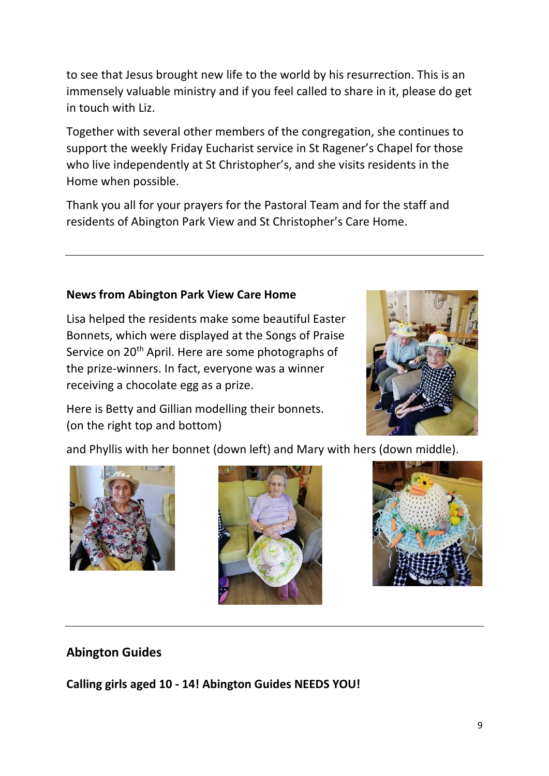to see that Jesus brought new life to the world by his resurrection. This is an immensely valuable ministry and if you feel called to share in it, please do get in touch with Liz.

Together with several other members of the congregation, she continues to support the weekly Friday Eucharist service in St Ragener's Chapel for those who live independently at St Christopher's, and she visits residents in the Home when possible.

Thank you all for your prayers for the Pastoral Team and for the staff and residents of Abington Park View and St Christopher's Care Home.

#### **News from Abington Park View Care Home**

Lisa helped the residents make some beautiful Easter Bonnets, which were displayed at the Songs of Praise Service on 20<sup>th</sup> April. Here are some photographs of the prize-winners. In fact, everyone was a winner receiving a chocolate egg as a prize.

Here is Betty and Gillian modelling their bonnets. (on the right top and bottom)

and Phyllis with her bonnet (down left) and Mary with hers (down middle).







# **Abington Guides**

**Calling girls aged 10 - 14! Abington Guides NEEDS YOU!**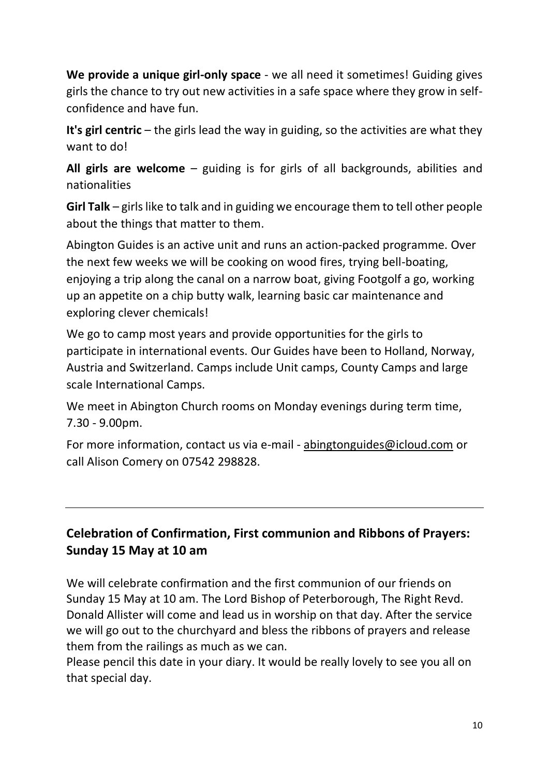**We provide a unique girl-only space** - we all need it sometimes! Guiding gives girls the chance to try out new activities in a safe space where they grow in selfconfidence and have fun.

**It's girl centric** – the girls lead the way in guiding, so the activities are what they want to do!

**All girls are welcome** – guiding is for girls of all backgrounds, abilities and nationalities

**Girl Talk** – girls like to talk and in guiding we encourage them to tell other people about the things that matter to them.

Abington Guides is an active unit and runs an action-packed programme. Over the next few weeks we will be cooking on wood fires, trying bell-boating, enjoying a trip along the canal on a narrow boat, giving Footgolf a go, working up an appetite on a chip butty walk, learning basic car maintenance and exploring clever chemicals!

We go to camp most years and provide opportunities for the girls to participate in international events. Our Guides have been to Holland, Norway, Austria and Switzerland. Camps include Unit camps, County Camps and large scale International Camps.

We meet in Abington Church rooms on Monday evenings during term time, 7.30 - 9.00pm.

For more information, contact us via e-mail - [abingtonguides@icloud.com](mailto:abingtonguides@icloud.com) or call Alison Comery on 07542 298828.

# **Celebration of Confirmation, First communion and Ribbons of Prayers: Sunday 15 May at 10 am**

We will celebrate confirmation and the first communion of our friends on Sunday 15 May at 10 am. The Lord Bishop of Peterborough, The Right Revd. Donald Allister will come and lead us in worship on that day. After the service we will go out to the churchyard and bless the ribbons of prayers and release them from the railings as much as we can.

Please pencil this date in your diary. It would be really lovely to see you all on that special day.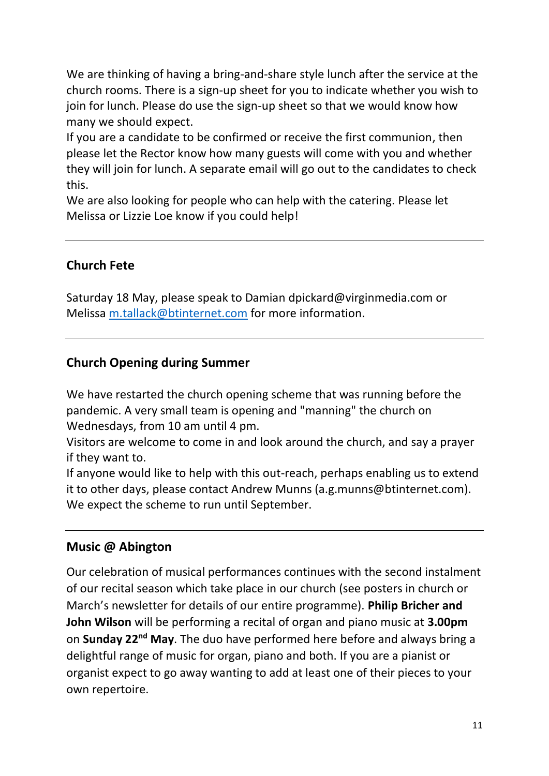We are thinking of having a bring-and-share style lunch after the service at the church rooms. There is a sign-up sheet for you to indicate whether you wish to join for lunch. Please do use the sign-up sheet so that we would know how many we should expect.

If you are a candidate to be confirmed or receive the first communion, then please let the Rector know how many guests will come with you and whether they will join for lunch. A separate email will go out to the candidates to check this.

We are also looking for people who can help with the catering. Please let Melissa or Lizzie Loe know if you could help!

# **Church Fete**

Saturday 18 May, please speak to Damian dpickard@virginmedia.com or Melissa [m.tallack@btinternet.com](mailto:m.tallack@btinternet.com) for more information.

## **Church Opening during Summer**

We have restarted the church opening scheme that was running before the pandemic. A very small team is opening and "manning" the church on Wednesdays, from 10 am until 4 pm.

Visitors are welcome to come in and look around the church, and say a prayer if they want to.

If anyone would like to help with this out-reach, perhaps enabling us to extend it to other days, please contact Andrew Munns (a.g.munns@btinternet.com). We expect the scheme to run until September.

## **Music @ Abington**

Our celebration of musical performances continues with the second instalment of our recital season which take place in our church (see posters in church or March's newsletter for details of our entire programme). **Philip Bricher and John Wilson** will be performing a recital of organ and piano music at **3.00pm** on **Sunday 22nd May**. The duo have performed here before and always bring a delightful range of music for organ, piano and both. If you are a pianist or organist expect to go away wanting to add at least one of their pieces to your own repertoire.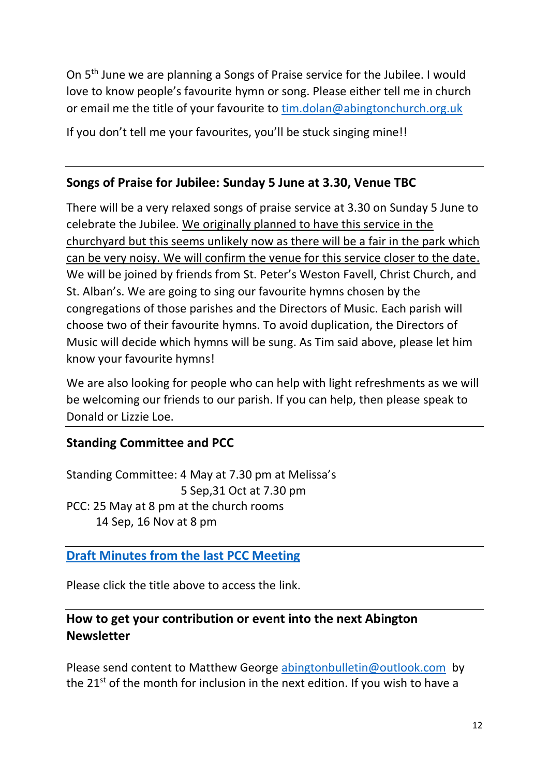On 5th June we are planning a Songs of Praise service for the Jubilee. I would love to know people's favourite hymn or song. Please either tell me in church or email me the title of your favourite to [tim.dolan@abingtonchurch.org.uk](mailto:tim.dolan@abingtonchurch.org.uk)

If you don't tell me your favourites, you'll be stuck singing mine!!

# **Songs of Praise for Jubilee: Sunday 5 June at 3.30, Venue TBC**

There will be a very relaxed songs of praise service at 3.30 on Sunday 5 June to celebrate the Jubilee. We originally planned to have this service in the churchyard but this seems unlikely now as there will be a fair in the park which can be very noisy. We will confirm the venue for this service closer to the date. We will be joined by friends from St. Peter's Weston Favell, Christ Church, and St. Alban's. We are going to sing our favourite hymns chosen by the congregations of those parishes and the Directors of Music. Each parish will choose two of their favourite hymns. To avoid duplication, the Directors of Music will decide which hymns will be sung. As Tim said above, please let him know your favourite hymns!

We are also looking for people who can help with light refreshments as we will be welcoming our friends to our parish. If you can help, then please speak to Donald or Lizzie Loe.

# **Standing Committee and PCC**

Standing Committee: 4 May at 7.30 pm at Melissa's 5 Sep,31 Oct at 7.30 pm PCC: 25 May at 8 pm at the church rooms 14 Sep, 16 Nov at 8 pm

# **[Draft Minutes from the last PCC Meeting](https://www.abingtonchurch.org.uk/about-us/parochial-church-council.php)**

Please click the title above to access the link.

# **How to get your contribution or event into the next Abington Newsletter**

Please send content to Matthew George [abingtonbulletin@outlook.com](mailto:abingtonbulletin@outlook.com) by the  $21^{st}$  of the month for inclusion in the next edition. If you wish to have a